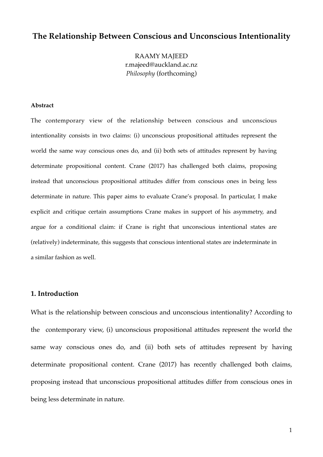# **The Relationship Between Conscious and Unconscious Intentionality**

RAAMY MAJEED r.majeed@auckland.ac.nz *Philosophy* (forthcoming)

### **Abstract**

The contemporary view of the relationship between conscious and unconscious intentionality consists in two claims: (i) unconscious propositional attitudes represent the world the same way conscious ones do, and (ii) both sets of attitudes represent by having determinate propositional content. Crane (2017) has challenged both claims, proposing instead that unconscious propositional attitudes differ from conscious ones in being less determinate in nature. This paper aims to evaluate Crane's proposal. In particular, I make explicit and critique certain assumptions Crane makes in support of his asymmetry, and argue for a conditional claim: if Crane is right that unconscious intentional states are (relatively) indeterminate, this suggests that conscious intentional states are indeterminate in a similar fashion as well.

### **1. Introduction**

What is the relationship between conscious and unconscious intentionality? According to the contemporary view, (i) unconscious propositional attitudes represent the world the same way conscious ones do, and (ii) both sets of attitudes represent by having determinate propositional content. Crane (2017) has recently challenged both claims, proposing instead that unconscious propositional attitudes differ from conscious ones in being less determinate in nature.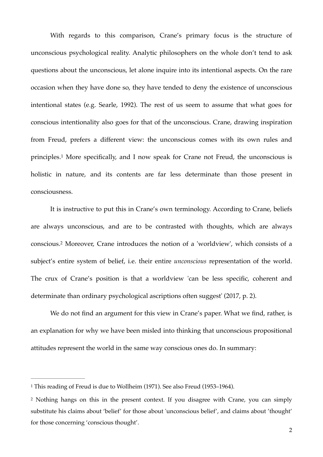With regards to this comparison, Crane's primary focus is the structure of unconscious psychological reality. Analytic philosophers on the whole don't tend to ask questions about the unconscious, let alone inquire into its intentional aspects. On the rare occasion when they have done so, they have tended to deny the existence of unconscious intentional states (e.g. Searle, 1992). The rest of us seem to assume that what goes for conscious intentionality also goes for that of the unconscious. Crane, drawing inspiration from Freud, prefers a different view: the unconscious comes with its own rules and principles[.](#page-1-0)<sup>[1](#page-1-0)</sup> More specifically, and I now speak for Crane not Freud, the unconscious is holistic in nature, and its contents are far less determinate than those present in consciousness.

<span id="page-1-3"></span><span id="page-1-2"></span>It is instructive to put this in Crane's own terminology. According to Crane, beliefs are always unconscious, and are to be contrasted with thoughts, which are always conscious[.](#page-1-1)<sup>[2](#page-1-1)</sup> Moreover, Crane introduces the notion of a 'worldview', which consists of a subject's entire system of belief, i.e. their entire *unconscious* representation of the world. The crux of Crane's position is that a worldview 'can be less specific, coherent and determinate than ordinary psychological ascriptions often suggest' (2017, p. 2).

We do not find an argument for this view in Crane's paper. What we find, rather, is an explanation for why we have been misled into thinking that unconscious propositional attitudes represent the world in the same way conscious ones do. In summary:

<span id="page-1-0"></span><sup>&</sup>lt;sup>[1](#page-1-2)</sup> This reading of Freud is due to Wollheim (1971). See also Freud (1953–1964).

<span id="page-1-1"></span><sup>&</sup>lt;sup>[2](#page-1-3)</sup> Nothing hangs on this in the present context. If you disagree with Crane, you can simply substitute his claims about 'belief' for those about 'unconscious belief', and claims about 'thought' for those concerning 'conscious thought'.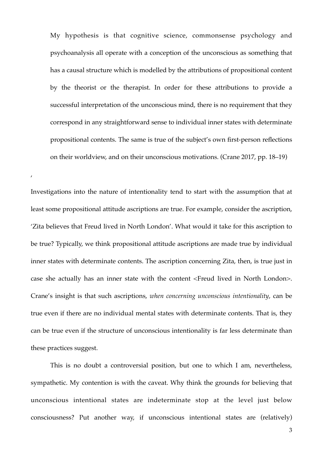My hypothesis is that cognitive science, commonsense psychology and psychoanalysis all operate with a conception of the unconscious as something that has a causal structure which is modelled by the attributions of propositional content by the theorist or the therapist. In order for these attributions to provide a successful interpretation of the unconscious mind, there is no requirement that they correspond in any straightforward sense to individual inner states with determinate propositional contents. The same is true of the subject's own first-person reflections on their worldview, and on their unconscious motivations. (Crane 2017, pp. 18–19)

Investigations into the nature of intentionality tend to start with the assumption that at least some propositional attitude ascriptions are true. For example, consider the ascription, 'Zita believes that Freud lived in North London'. What would it take for this ascription to be true? Typically, we think propositional attitude ascriptions are made true by individual inner states with determinate contents. The ascription concerning Zita, then, is true just in case she actually has an inner state with the content <Freud lived in North London>. Crane's insight is that such ascriptions, *when concerning unconscious intentionality*, can be true even if there are no individual mental states with determinate contents. That is, they can be true even if the structure of unconscious intentionality is far less determinate than these practices suggest.

,

This is no doubt a controversial position, but one to which I am, nevertheless, sympathetic. My contention is with the caveat. Why think the grounds for believing that unconscious intentional states are indeterminate stop at the level just below consciousness? Put another way, if unconscious intentional states are (relatively)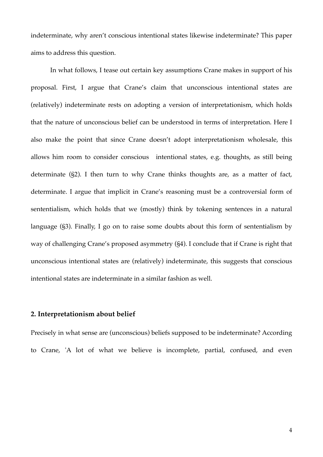indeterminate, why aren't conscious intentional states likewise indeterminate? This paper aims to address this question.

In what follows, I tease out certain key assumptions Crane makes in support of his proposal. First, I argue that Crane's claim that unconscious intentional states are (relatively) indeterminate rests on adopting a version of interpretationism, which holds that the nature of unconscious belief can be understood in terms of interpretation. Here I also make the point that since Crane doesn't adopt interpretationism wholesale, this allows him room to consider conscious intentional states, e.g. thoughts, as still being determinate (§2). I then turn to why Crane thinks thoughts are, as a matter of fact, determinate. I argue that implicit in Crane's reasoning must be a controversial form of sententialism, which holds that we (mostly) think by tokening sentences in a natural language (§3). Finally, I go on to raise some doubts about this form of sententialism by way of challenging Crane's proposed asymmetry (§4). I conclude that if Crane is right that unconscious intentional states are (relatively) indeterminate, this suggests that conscious intentional states are indeterminate in a similar fashion as well.

## **2. Interpretationism about belief**

Precisely in what sense are (unconscious) beliefs supposed to be indeterminate? According to Crane, 'A lot of what we believe is incomplete, partial, confused, and even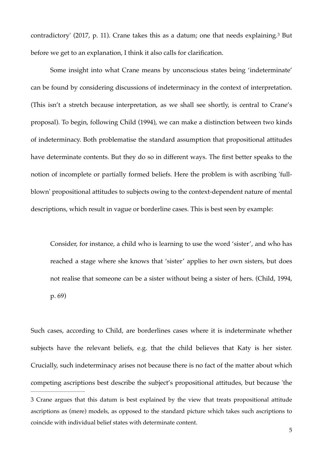<span id="page-4-1"></span>contradictory'(2017, p. 11). Crane takes this as a datum; one that needs explaining.<sup>[3](#page-4-0)</sup> But before we get to an explanation, I think it also calls for clarification.

Some insight into what Crane means by unconscious states being 'indeterminate' can be found by considering discussions of indeterminacy in the context of interpretation. (This isn't a stretch because interpretation, as we shall see shortly, is central to Crane's proposal). To begin, following Child (1994), we can make a distinction between two kinds of indeterminacy. Both problematise the standard assumption that propositional attitudes have determinate contents. But they do so in different ways. The first better speaks to the notion of incomplete or partially formed beliefs. Here the problem is with ascribing 'fullblown' propositional attitudes to subjects owing to the context-dependent nature of mental descriptions, which result in vague or borderline cases. This is best seen by example:

Consider, for instance, a child who is learning to use the word 'sister', and who has reached a stage where she knows that 'sister' applies to her own sisters, but does not realise that someone can be a sister without being a sister of hers. (Child, 1994, p. 69)

Such cases, according to Child, are borderlines cases where it is indeterminate whether subjects have the relevant beliefs, e.g. that the child believes that Katy is her sister. Crucially, such indeterminacy arises not because there is no fact of the matter about which competing ascriptions best describe the subject's propositional attitudes, but because 'the [3](#page-4-1) Crane argues that this datum is best explained by the view that treats propositional attitude ascriptions as (mere) models, as opposed to the standard picture which takes such ascriptions to

<span id="page-4-0"></span>coincide with individual belief states with determinate content.

<sup>5</sup>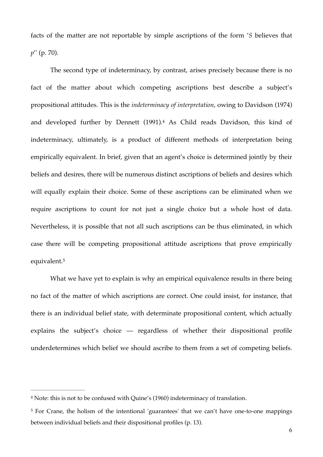facts of the matter are not reportable by simple ascriptions of the form '*S* believes that *p*'' (p. 70).

<span id="page-5-2"></span>The second type of indeterminacy, by contrast, arises precisely because there is no fact of the matter about which competing ascriptions best describe a subject's propositional attitudes. This is the *indeterminacy of interpretation*, owing to Davidson (1974) and developed further by Dennett (1991)[.](#page-5-0)<sup>[4](#page-5-0)</sup> As Child reads Davidson, this kind of indeterminacy, ultimately, is a product of different methods of interpretation being empirically equivalent. In brief, given that an agent's choice is determined jointly by their beliefs and desires, there will be numerous distinct ascriptions of beliefs and desires which will equally explain their choice. Some of these ascriptions can be eliminated when we require ascriptions to count for not just a single choice but a whole host of data. Nevertheless, it is possible that not all such ascriptions can be thus eliminated, in which case there will be competing propositional attitude ascriptions that prove empirically equivalent.[5](#page-5-1)

<span id="page-5-3"></span>What we have yet to explain is why an empirical equivalence results in there being no fact of the matter of which ascriptions are correct. One could insist, for instance, that there is an individual belief state, with determinate propositional content, which actually explains the subject's choice — regardless of whether their dispositional profile underdetermines which belief we should ascribe to them from a set of competing beliefs.

<span id="page-5-0"></span>Note: this is not to be confused with Quine's (1960) indeterminacy of translation. [4](#page-5-2)

<span id="page-5-1"></span><sup>&</sup>lt;sup>[5](#page-5-3)</sup> For Crane, the holism of the intentional 'guarantees' that we can't have one-to-one mappings between individual beliefs and their dispositional profiles (p. 13).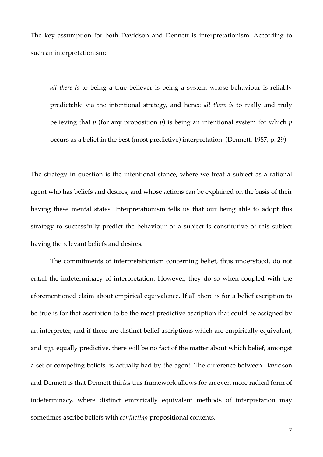The key assumption for both Davidson and Dennett is interpretationism. According to such an interpretationism:

*all there is* to being a true believer is being a system whose behaviour is reliably predictable via the intentional strategy, and hence *all there is* to really and truly believing that *p* (for any proposition *p*) is being an intentional system for which *p* occurs as a belief in the best (most predictive) interpretation. (Dennett, 1987, p. 29)

The strategy in question is the intentional stance, where we treat a subject as a rational agent who has beliefs and desires, and whose actions can be explained on the basis of their having these mental states. Interpretationism tells us that our being able to adopt this strategy to successfully predict the behaviour of a subject is constitutive of this subject having the relevant beliefs and desires.

The commitments of interpretationism concerning belief, thus understood, do not entail the indeterminacy of interpretation. However, they do so when coupled with the aforementioned claim about empirical equivalence. If all there is for a belief ascription to be true is for that ascription to be the most predictive ascription that could be assigned by an interpreter, and if there are distinct belief ascriptions which are empirically equivalent, and *ergo* equally predictive, there will be no fact of the matter about which belief, amongst a set of competing beliefs, is actually had by the agent. The difference between Davidson and Dennett is that Dennett thinks this framework allows for an even more radical form of indeterminacy, where distinct empirically equivalent methods of interpretation may sometimes ascribe beliefs with *conflicting* propositional contents.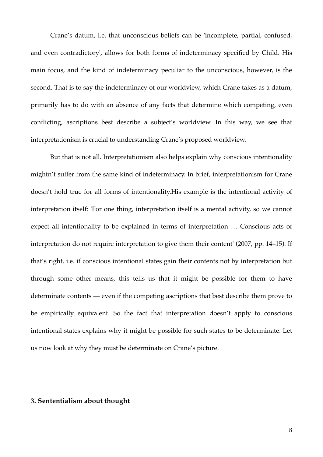Crane's datum, i.e. that unconscious beliefs can be 'incomplete, partial, confused, and even contradictory', allows for both forms of indeterminacy specified by Child. His main focus, and the kind of indeterminacy peculiar to the unconscious, however, is the second. That is to say the indeterminacy of our worldview, which Crane takes as a datum, primarily has to do with an absence of any facts that determine which competing, even conflicting, ascriptions best describe a subject's worldview. In this way, we see that interpretationism is crucial to understanding Crane's proposed worldview.

But that is not all. Interpretationism also helps explain why conscious intentionality mightn't suffer from the same kind of indeterminacy. In brief, interpretationism for Crane doesn't hold true for all forms of intentionality.His example is the intentional activity of interpretation itself: 'For one thing, interpretation itself is a mental activity, so we cannot expect all intentionality to be explained in terms of interpretation … Conscious acts of interpretation do not require interpretation to give them their content' (2007, pp. 14–15). If that's right, i.e. if conscious intentional states gain their contents not by interpretation but through some other means, this tells us that it might be possible for them to have determinate contents — even if the competing ascriptions that best describe them prove to be empirically equivalent. So the fact that interpretation doesn't apply to conscious intentional states explains why it might be possible for such states to be determinate. Let us now look at why they must be determinate on Crane's picture.

## **3. Sententialism about thought**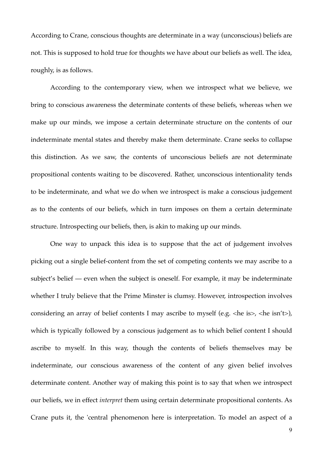According to Crane, conscious thoughts are determinate in a way (unconscious) beliefs are not. This is supposed to hold true for thoughts we have about our beliefs as well. The idea, roughly, is as follows.

According to the contemporary view, when we introspect what we believe, we bring to conscious awareness the determinate contents of these beliefs, whereas when we make up our minds, we impose a certain determinate structure on the contents of our indeterminate mental states and thereby make them determinate. Crane seeks to collapse this distinction. As we saw, the contents of unconscious beliefs are not determinate propositional contents waiting to be discovered. Rather, unconscious intentionality tends to be indeterminate, and what we do when we introspect is make a conscious judgement as to the contents of our beliefs, which in turn imposes on them a certain determinate structure. Introspecting our beliefs, then, is akin to making up our minds.

One way to unpack this idea is to suppose that the act of judgement involves picking out a single belief-content from the set of competing contents we may ascribe to a subject's belief — even when the subject is oneself. For example, it may be indeterminate whether I truly believe that the Prime Minster is clumsy. However, introspection involves considering an array of belief contents I may ascribe to myself (e.g.  $\langle$ he is $\rangle$ ,  $\langle$ he isn't $\rangle$ ), which is typically followed by a conscious judgement as to which belief content I should ascribe to myself. In this way, though the contents of beliefs themselves may be indeterminate, our conscious awareness of the content of any given belief involves determinate content. Another way of making this point is to say that when we introspect our beliefs, we in effect *interpret* them using certain determinate propositional contents. As Crane puts it, the 'central phenomenon here is interpretation. To model an aspect of a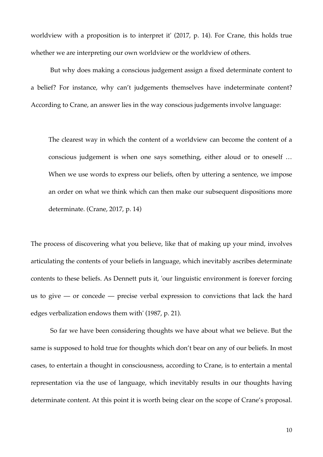worldview with a proposition is to interpret it' (2017, p. 14). For Crane, this holds true whether we are interpreting our own worldview or the worldview of others.

But why does making a conscious judgement assign a fixed determinate content to a belief? For instance, why can't judgements themselves have indeterminate content? According to Crane, an answer lies in the way conscious judgements involve language:

The clearest way in which the content of a worldview can become the content of a conscious judgement is when one says something, either aloud or to oneself … When we use words to express our beliefs, often by uttering a sentence, we impose an order on what we think which can then make our subsequent dispositions more determinate. (Crane, 2017, p. 14)

The process of discovering what you believe, like that of making up your mind, involves articulating the contents of your beliefs in language, which inevitably ascribes determinate contents to these beliefs. As Dennett puts it, 'our linguistic environment is forever forcing us to give — or concede — precise verbal expression to convictions that lack the hard edges verbalization endows them with' (1987, p. 21).

So far we have been considering thoughts we have about what we believe. But the same is supposed to hold true for thoughts which don't bear on any of our beliefs. In most cases, to entertain a thought in consciousness, according to Crane, is to entertain a mental representation via the use of language, which inevitably results in our thoughts having determinate content. At this point it is worth being clear on the scope of Crane's proposal.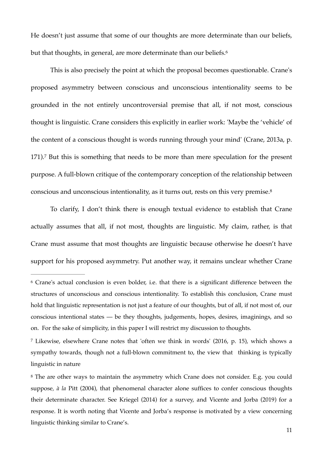He doesn't just assume that some of our thoughts are more determinate than our beliefs, but that thoughts, in general, are more determinate than our beliefs.<sup>6</sup>

<span id="page-10-3"></span>This is also precisely the point at which the proposal becomes questionable. Crane's proposed asymmetry between conscious and unconscious intentionality seems to be grounded in the not entirely uncontroversial premise that all, if not most, conscious thought is linguistic. Crane considers this explicitly in earlier work: 'Maybe the 'vehicle' of the content of a conscious thought is words running through your mind' (Crane, 2013a, p.  $171$  $171$  $171$ ).<sup> $7$ </sup>But this is something that needs to be more than mere speculation for the present purpose. A full-blown critique of the contemporary conception of the relationship between conscious and unconscious intentionality, as it turns out, rests on this very premise.[8](#page-10-2)

<span id="page-10-5"></span><span id="page-10-4"></span>To clarify, I don't think there is enough textual evidence to establish that Crane actually assumes that all, if not most, thoughts are linguistic. My claim, rather, is that Crane must assume that most thoughts are linguistic because otherwise he doesn't have support for his proposed asymmetry. Put another way, it remains unclear whether Crane

<span id="page-10-0"></span><sup>&</sup>lt;sup>[6](#page-10-3)</sup> Crane's actual conclusion is even bolder, i.e. that there is a significant difference between the structures of unconscious and conscious intentionality. To establish this conclusion, Crane must hold that linguistic representation is not just a feature of our thoughts, but of all, if not most of, our conscious intentional states — be they thoughts, judgements, hopes, desires, imaginings, and so on. For the sake of simplicity, in this paper I will restrict my discussion to thoughts.

<span id="page-10-1"></span>Likewise, elsewhere Crane notes that 'often we think in words' (2016, p. 15), which shows a [7](#page-10-4) sympathy towards, though not a full-blown commitment to, the view that thinking is typically linguistic in nature

<span id="page-10-2"></span><sup>&</sup>lt;sup>[8](#page-10-5)</sup> The are other ways to maintain the asymmetry which Crane does not consider. E.g. you could suppose*, à la* Pitt (2004), that phenomenal character alone suffices to confer conscious thoughts their determinate character. See Kriegel (2014) for a survey, and Vicente and Jorba (2019) for a response. It is worth noting that Vicente and Jorba's response is motivated by a view concerning linguistic thinking similar to Crane's.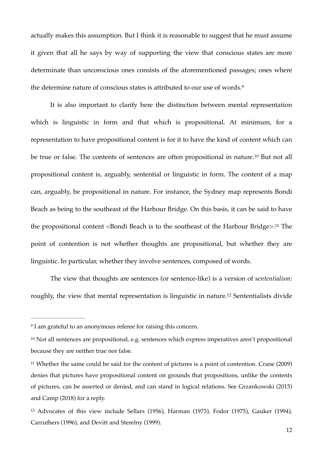actually makes this assumption. But I think it is reasonable to suggest that he must assume it given that all he says by way of supporting the view that conscious states are more determinate than unconscious ones consists of the aforementioned passages; ones where the determine nature of conscious states is attributed to our use of words.[9](#page-11-0)

<span id="page-11-5"></span><span id="page-11-4"></span>It is also important to clarify here the distinction between mental representation which is linguistic in form and that which is propositional. At minimum, for a representation to have propositional content is for it to have the kind of content which can betrue or false. The contents of sentences are often propositional in nature.<sup>[10](#page-11-1)</sup> But not all propositional content is, arguably, sentential or linguistic in form. The content of a map can, arguably, be propositional in nature. For instance, the Sydney map represents Bondi Beach as being to the southeast of the Harbour Bridge. On this basis, it can be said to have the propositional content <Bondi Beach is to the southeast of the Harbour Bridge>.<sup>[11](#page-11-2)</sup> The point of contention is not whether thoughts are propositional, but whether they are linguistic. In particular, whether they involve sentences, composed of words.

<span id="page-11-7"></span><span id="page-11-6"></span>The view that thoughts are sentences (or sentence-like) is a version of s*ententialism*: roughly, the view that mental representation is linguistic in nature[.](#page-11-3)<sup>[12](#page-11-3)</sup> Sententialists divide

<span id="page-11-0"></span><sup>&</sup>lt;sup>[9](#page-11-4)</sup> I am grateful to an anonymous referee for raising this concern.

<span id="page-11-1"></span><sup>&</sup>lt;sup>[10](#page-11-5)</sup> Not all sentences are propositional, e.g. sentences which express imperatives aren't propositional because they are neither true nor false.

<span id="page-11-2"></span><sup>&</sup>lt;sup>11</sup>Whether the same could be said for the content of pictures is a point of contention. Crane (2009) denies that pictures have propositional content on grounds that propositions, unlike the contents of pictures, can be asserted or denied, and can stand in logical relations. See Grzankowski (2015) and Camp (2018) for a reply.

<span id="page-11-3"></span> $12$  Advocates of this view include Sellars (1956), Harman (1973), Fodor (1975), Gauker (1994), Carruthers (1996), and Devitt and Sterelny (1999).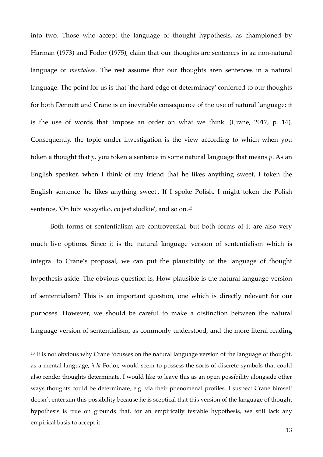into two. Those who accept the language of thought hypothesis, as championed by Harman (1973) and Fodor (1975), claim that our thoughts are sentences in aa non-natural language or *mentalese*. The rest assume that our thoughts aren sentences in a natural language. The point for us is that 'the hard edge of determinacy' conferred to our thoughts for both Dennett and Crane is an inevitable consequence of the use of natural language; it is the use of words that 'impose an order on what we think' (Crane, 2017, p. 14). Consequently, the topic under investigation is the view according to which when you token a thought that *p*, you token a sentence in some natural language that means *p*. As an English speaker, when I think of my friend that he likes anything sweet, I token the English sentence 'he likes anything sweet'. If I spoke Polish, I might token the Polish sentence, 'On lubi wszystko, co jest słodkie', and so on.[13](#page-12-0)

<span id="page-12-1"></span>Both forms of sententialism are controversial, but both forms of it are also very much live options. Since it is the natural language version of sententialism which is integral to Crane's proposal, we can put the plausibility of the language of thought hypothesis aside. The obvious question is, How plausible is the natural language version of sententialism? This is an important question, one which is directly relevant for our purposes. However, we should be careful to make a distinction between the natural language version of sententialism, as commonly understood, and the more literal reading

<span id="page-12-0"></span><sup>&</sup>lt;sup>[13](#page-12-1)</sup> It is not obvious why Crane focusses on the natural language version of the language of thought, as a mental language, *à la* Fodor, would seem to possess the sorts of discrete symbols that could also render thoughts determinate. I would like to leave this as an open possibility alongside other ways thoughts could be determinate, e.g. via their phenomenal profiles. I suspect Crane himself doesn't entertain this possibility because he is sceptical that this version of the language of thought hypothesis is true on grounds that, for an empirically testable hypothesis, we still lack any empirical basis to accept it.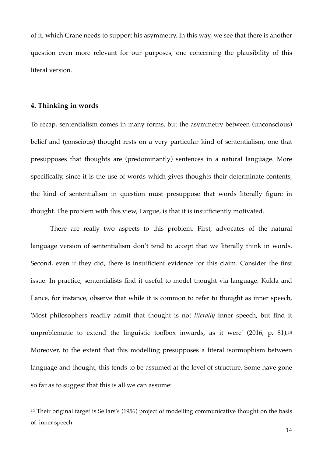of it, which Crane needs to support his asymmetry. In this way, we see that there is another question even more relevant for our purposes, one concerning the plausibility of this literal version.

## **4. Thinking in words**

To recap, sententialism comes in many forms, but the asymmetry between (unconscious) belief and (conscious) thought rests on a very particular kind of sententialism, one that presupposes that thoughts are (predominantly) sentences in a natural language. More specifically, since it is the use of words which gives thoughts their determinate contents, the kind of sententialism in question must presuppose that words literally figure in thought. The problem with this view, I argue, is that it is insufficiently motivated.

There are really two aspects to this problem. First, advocates of the natural language version of sententialism don't tend to accept that we literally think in words. Second, even if they did, there is insufficient evidence for this claim. Consider the first issue. In practice, sententialists find it useful to model thought via language. Kukla and Lance, for instance, observe that while it is common to refer to thought as inner speech, 'Most philosophers readily admit that thought is not *literally* inner speech, but find it unproblematic to extend the linguistic toolbox inwards, as it were' (2016, p. 81).[14](#page-13-0) Moreover, to the extent that this modelling presupposes a literal isormophism between language and thought, this tends to be assumed at the level of structure. Some have gone so far as to suggest that this is all we can assume:

<span id="page-13-1"></span><span id="page-13-0"></span><sup>&</sup>lt;sup>[14](#page-13-1)</sup> Their original target is Sellars's  $(1956)$  project of modelling communicative thought on the basis of inner speech.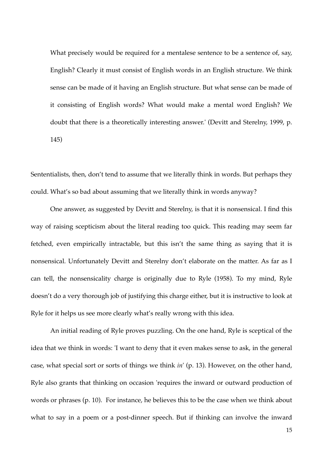What precisely would be required for a mentalese sentence to be a sentence of, say, English? Clearly it must consist of English words in an English structure. We think sense can be made of it having an English structure. But what sense can be made of it consisting of English words? What would make a mental word English? We doubt that there is a theoretically interesting answer.' (Devitt and Sterelny, 1999, p. 145)

Sententialists, then, don't tend to assume that we literally think in words. But perhaps they could. What's so bad about assuming that we literally think in words anyway?

One answer, as suggested by Devitt and Sterelny, is that it is nonsensical. I find this way of raising scepticism about the literal reading too quick. This reading may seem far fetched, even empirically intractable, but this isn't the same thing as saying that it is nonsensical. Unfortunately Devitt and Sterelny don't elaborate on the matter. As far as I can tell, the nonsensicality charge is originally due to Ryle (1958). To my mind, Ryle doesn't do a very thorough job of justifying this charge either, but it is instructive to look at Ryle for it helps us see more clearly what's really wrong with this idea.

An initial reading of Ryle proves puzzling. On the one hand, Ryle is sceptical of the idea that we think in words: 'I want to deny that it even makes sense to ask, in the general case, what special sort or sorts of things we think *in*' (p. 13). However, on the other hand, Ryle also grants that thinking on occasion 'requires the inward or outward production of words or phrases (p. 10). For instance, he believes this to be the case when we think about what to say in a poem or a post-dinner speech. But if thinking can involve the inward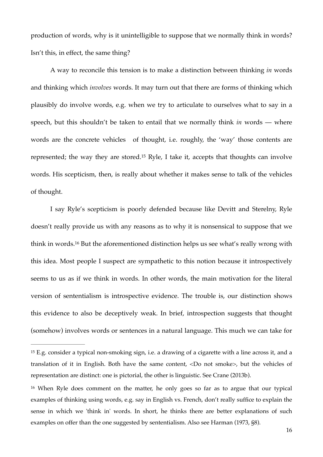production of words, why is it unintelligible to suppose that we normally think in words? Isn't this, in effect, the same thing?

A way to reconcile this tension is to make a distinction between thinking *in* words and thinking which *involves* words. It may turn out that there are forms of thinking which plausibly do involve words, e.g. when we try to articulate to ourselves what to say in a speech, but this shouldn't be taken to entail that we normally think *in* words — where words are the concrete vehicles of thought, i.e. roughly, the 'way' those contents are represented;the way they are stored.<sup>[15](#page-15-0)</sup> Ryle, I take it, accepts that thoughts can involve words. His scepticism, then, is really about whether it makes sense to talk of the vehicles of thought.

<span id="page-15-3"></span><span id="page-15-2"></span>I say Ryle's scepticism is poorly defended because like Devitt and Sterelny, Ryle doesn't really provide us with any reasons as to why it is nonsensical to suppose that we think in words[.](#page-15-1)<sup>[16](#page-15-1)</sup> But the aforementioned distinction helps us see what's really wrong with this idea. Most people I suspect are sympathetic to this notion because it introspectively seems to us as if we think in words. In other words, the main motivation for the literal version of sententialism is introspective evidence. The trouble is, our distinction shows this evidence to also be deceptively weak. In brief, introspection suggests that thought (somehow) involves words or sentences in a natural language. This much we can take for

<span id="page-15-0"></span><sup>&</sup>lt;sup>[15](#page-15-2)</sup> E.g. consider a typical non-smoking sign, i.e. a drawing of a cigarette with a line across it, and a translation of it in English. Both have the same content, <Do not smoke>, but the vehicles of representation are distinct: one is pictorial, the other is linguistic. See Crane (2013b).

<span id="page-15-1"></span><sup>&</sup>lt;sup>[16](#page-15-3)</sup> When Ryle does comment on the matter, he only goes so far as to argue that our typical examples of thinking using words, e.g. say in English vs. French, don't really suffice to explain the sense in which we 'think in' words. In short, he thinks there are better explanations of such examples on offer than the one suggested by sententialism. Also see Harman (1973, §8).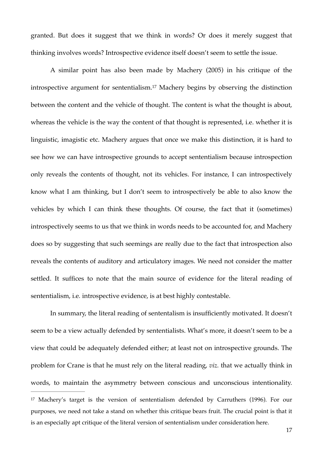granted. But does it suggest that we think in words? Or does it merely suggest that thinking involves words? Introspective evidence itself doesn't seem to settle the issue.

<span id="page-16-1"></span>A similar point has also been made by Machery (2005) in his critique of the introspectiveargument for sententialism.<sup>[17](#page-16-0)</sup> Machery begins by observing the distinction between the content and the vehicle of thought. The content is what the thought is about, whereas the vehicle is the way the content of that thought is represented, i.e. whether it is linguistic, imagistic etc. Machery argues that once we make this distinction, it is hard to see how we can have introspective grounds to accept sententialism because introspection only reveals the contents of thought, not its vehicles. For instance, I can introspectively know what I am thinking, but I don't seem to introspectively be able to also know the vehicles by which I can think these thoughts. Of course, the fact that it (sometimes) introspectively seems to us that we think in words needs to be accounted for, and Machery does so by suggesting that such seemings are really due to the fact that introspection also reveals the contents of auditory and articulatory images. We need not consider the matter settled. It suffices to note that the main source of evidence for the literal reading of sententialism, i.e*.* introspective evidence, is at best highly contestable.

<span id="page-16-0"></span>In summary, the literal reading of sententalism is insufficiently motivated. It doesn't seem to be a view actually defended by sententialists. What's more, it doesn't seem to be a view that could be adequately defended either; at least not on introspective grounds. The problem for Crane is that he must rely on the literal reading, *viz.* that we actually think in words, to maintain the asymmetry between conscious and unconscious intentionality. <sup>[17](#page-16-1)</sup> Machery's target is the version of sententialism defended by Carruthers (1996). For our purposes, we need not take a stand on whether this critique bears fruit. The crucial point is that it is an especially apt critique of the literal version of sententialism under consideration here.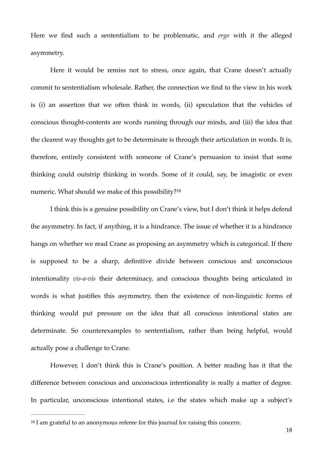Here we find such a sententialism to be problematic, and *ergo* with it the alleged asymmetry.

Here it would be remiss not to stress, once again, that Crane doesn't actually commit to sententialism wholesale. Rather, the connection we find to the view in his work is (i) an assertion that we often think in words, (ii) speculation that the vehicles of conscious thought-contents are words running through our minds, and (iii) the idea that the clearest way thoughts get to be determinate is through their articulation in words. It is, therefore, entirely consistent with someone of Crane's persuasion to insist that some thinking could outstrip thinking in words. Some of it could, say, be imagistic or even numeric. What should we make of this possibility?<sup>[18](#page-17-0)</sup>

<span id="page-17-1"></span>I think this is a genuine possibility on Crane's view, but I don't think it helps defend the asymmetry. In fact, if anything, it is a hindrance. The issue of whether it is a hindrance hangs on whether we read Crane as proposing an asymmetry which is categorical. If there is supposed to be a sharp, definitive divide between conscious and unconscious intentionality *vis-a-vis* their determinacy, and conscious thoughts being articulated in words is what justifies this asymmetry, then the existence of non-linguistic forms of thinking would put pressure on the idea that all conscious intentional states are determinate. So counterexamples to sententialism, rather than being helpful, would actually pose a challenge to Crane.

However, I don't think this is Crane's position. A better reading has it that the difference between conscious and unconscious intentionality is really a matter of degree. In particular, unconscious intentional states, i.e the states which make up a subject's

<span id="page-17-0"></span> $18$  I am grateful to an anonymous referee for this journal for raising this concern.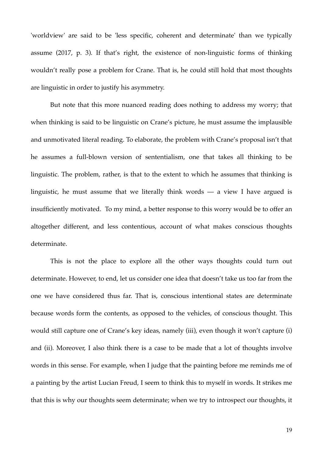'worldview' are said to be 'less specific, coherent and determinate' than we typically assume (2017, p. 3). If that's right, the existence of non-linguistic forms of thinking wouldn't really pose a problem for Crane. That is, he could still hold that most thoughts are linguistic in order to justify his asymmetry.

But note that this more nuanced reading does nothing to address my worry; that when thinking is said to be linguistic on Crane's picture, he must assume the implausible and unmotivated literal reading. To elaborate, the problem with Crane's proposal isn't that he assumes a full-blown version of sententialism, one that takes all thinking to be linguistic. The problem, rather, is that to the extent to which he assumes that thinking is linguistic, he must assume that we literally think words — a view I have argued is insufficiently motivated. To my mind, a better response to this worry would be to offer an altogether different, and less contentious, account of what makes conscious thoughts determinate.

This is not the place to explore all the other ways thoughts could turn out determinate. However, to end, let us consider one idea that doesn't take us too far from the one we have considered thus far. That is, conscious intentional states are determinate because words form the contents, as opposed to the vehicles, of conscious thought. This would still capture one of Crane's key ideas, namely (iii), even though it won't capture (i) and (ii). Moreover, I also think there is a case to be made that a lot of thoughts involve words in this sense. For example, when I judge that the painting before me reminds me of a painting by the artist Lucian Freud, I seem to think this to myself in words. It strikes me that this is why our thoughts seem determinate; when we try to introspect our thoughts, it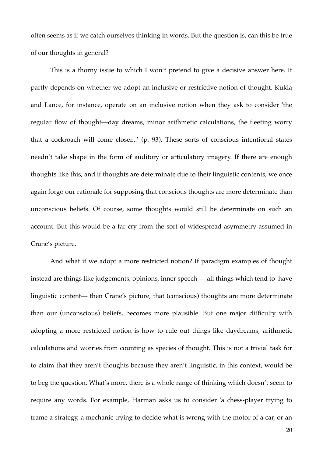often seems as if we catch ourselves thinking in words. But the question is, can this be true of our thoughts in general?

This is a thorny issue to which I won't pretend to give a decisive answer here. It partly depends on whether we adopt an inclusive or restrictive notion of thought. Kukla and Lance, for instance, operate on an inclusive notion when they ask to consider 'the regular flow of thought—day dreams, minor arithmetic calculations, the fleeting worry that a cockroach will come closer...' (p. 93). These sorts of conscious intentional states needn't take shape in the form of auditory or articulatory imagery. If there are enough thoughts like this, and if thoughts are determinate due to their linguistic contents, we once again forgo our rationale for supposing that conscious thoughts are more determinate than unconscious beliefs. Of course, some thoughts would still be determinate on such an account. But this would be a far cry from the sort of widespread asymmetry assumed in Crane's picture.

And what if we adopt a more restricted notion? If paradigm examples of thought instead are things like judgements, opinions, inner speech — all things which tend to have linguistic content— then Crane's picture, that (conscious) thoughts are more determinate than our (unconscious) beliefs, becomes more plausible. But one major difficulty with adopting a more restricted notion is how to rule out things like daydreams, arithmetic calculations and worries from counting as species of thought. This is not a trivial task for to claim that they aren't thoughts because they aren't linguistic, in this context, would be to beg the question. What's more, there is a whole range of thinking which doesn't seem to require any words. For example, Harman asks us to consider 'a chess-player trying to frame a strategy, a mechanic trying to decide what is wrong with the motor of a car, or an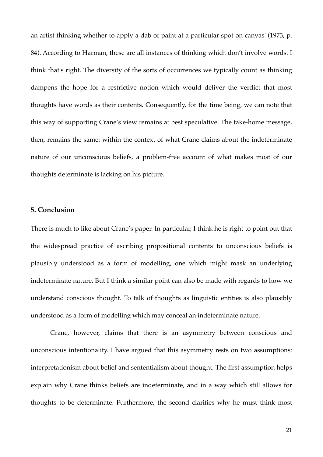an artist thinking whether to apply a dab of paint at a particular spot on canvas' (1973, p. 84). According to Harman, these are all instances of thinking which don't involve words. I think that's right. The diversity of the sorts of occurrences we typically count as thinking dampens the hope for a restrictive notion which would deliver the verdict that most thoughts have words as their contents. Consequently, for the time being, we can note that this way of supporting Crane's view remains at best speculative. The take-home message, then, remains the same: within the context of what Crane claims about the indeterminate nature of our unconscious beliefs, a problem-free account of what makes most of our thoughts determinate is lacking on his picture.

## **5. Conclusion**

There is much to like about Crane's paper. In particular, I think he is right to point out that the widespread practice of ascribing propositional contents to unconscious beliefs is plausibly understood as a form of modelling, one which might mask an underlying indeterminate nature. But I think a similar point can also be made with regards to how we understand conscious thought. To talk of thoughts as linguistic entities is also plausibly understood as a form of modelling which may conceal an indeterminate nature.

Crane, however, claims that there is an asymmetry between conscious and unconscious intentionality. I have argued that this asymmetry rests on two assumptions: interpretationism about belief and sententialism about thought. The first assumption helps explain why Crane thinks beliefs are indeterminate, and in a way which still allows for thoughts to be determinate. Furthermore, the second clarifies why he must think most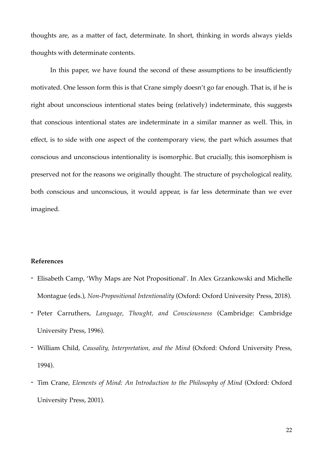thoughts are, as a matter of fact, determinate. In short, thinking in words always yields thoughts with determinate contents.

In this paper, we have found the second of these assumptions to be insufficiently motivated. One lesson form this is that Crane simply doesn't go far enough. That is, if he is right about unconscious intentional states being (relatively) indeterminate, this suggests that conscious intentional states are indeterminate in a similar manner as well. This, in effect, is to side with one aspect of the contemporary view, the part which assumes that conscious and unconscious intentionality is isomorphic. But crucially, this isomorphism is preserved not for the reasons we originally thought. The structure of psychological reality, both conscious and unconscious, it would appear, is far less determinate than we ever imagined.

# **References**

- Elisabeth Camp, 'Why Maps are Not Propositional'. In Alex Grzankowski and Michelle Montague (eds.), *Non-Propositional Intentionality* (Oxford: Oxford University Press, 2018).
- Peter Carruthers, *Language, Thought, and Consciousness* (Cambridge: Cambridge University Press, 1996).
- William Child, *Causality, Interpretation, and the Mind* (Oxford: Oxford University Press, 1994).
- Tim Crane, *Elements of Mind: An Introduction to the Philosophy of Mind* (Oxford: Oxford University Press, 2001).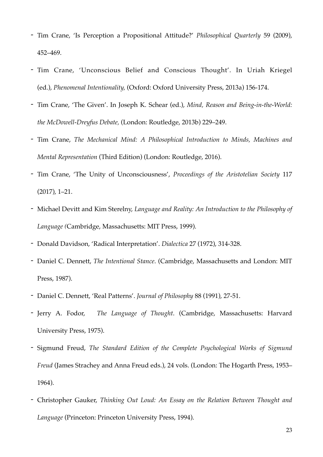- Tim Crane, 'Is Perception a Propositional Attitude?' *Philosophical Quarterly* 59 (2009), 452–469.
- Tim Crane, 'Unconscious Belief and Conscious Thought'. In Uriah Kriegel (ed.), *Phenomenal Intentionality,* (Oxford: Oxford University Press, 2013a) 156-174.
- Tim Crane, 'The Given'. In Joseph K. Schear (ed.), *Mind, Reason and Being-in-the-World: the McDowell-Dreyfus Debate,* (London: Routledge, 2013b) 229–249.
- Tim Crane, *The Mechanical Mind: A Philosophical Introduction to Minds, Machines and Mental Representation* (Third Edition) (London: Routledge, 2016).
- Tim Crane, 'The Unity of Unconsciousness', *Proceedings of the Aristotelian Society* 117 (2017), 1–21.
- Michael Devitt and Kim Sterelny, *Language and Reality: An Introduction to the Philosophy of Language (*Cambridge, Massachusetts: MIT Press, 1999).
- Donald Davidson, 'Radical Interpretation'. *Dialectica* 27 (1972), 314-328.
- Daniel C. Dennett, *The Intentional Stance*. (Cambridge, Massachusetts and London: MIT Press, 1987).
- Daniel C. Dennett, 'Real Patterns'. *Journal of Philosophy* 88 (1991), 27-51.
- Jerry A. Fodor, *The Language of Thought*. (Cambridge, Massachusetts: Harvard University Press, 1975).
- Sigmund Freud, *The Standard Edition of the Complete Psychological Works of Sigmund Freud* (James Strachey and Anna Freud eds.), 24 vols. (London: The Hogarth Press, 1953– 1964).
- Christopher Gauker, *Thinking Out Loud: An Essay on the Relation Between Thought and Language* (Princeton: Princeton University Press, 1994).